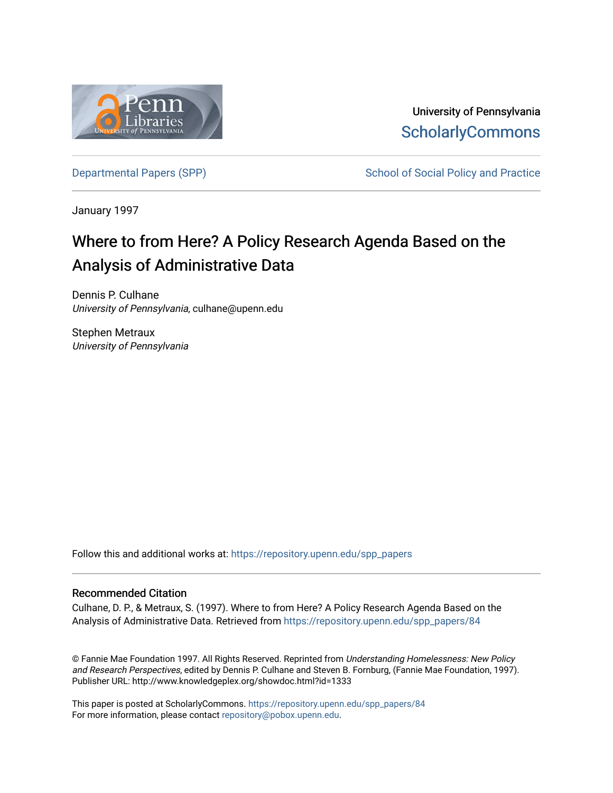

University of Pennsylvania **ScholarlyCommons** 

[Departmental Papers \(SPP\)](https://repository.upenn.edu/spp_papers) School of Social Policy and Practice

January 1997

# Where to from Here? A Policy Research Agenda Based on the Analysis of Administrative Data

Dennis P. Culhane University of Pennsylvania, culhane@upenn.edu

Stephen Metraux University of Pennsylvania

Follow this and additional works at: [https://repository.upenn.edu/spp\\_papers](https://repository.upenn.edu/spp_papers?utm_source=repository.upenn.edu%2Fspp_papers%2F84&utm_medium=PDF&utm_campaign=PDFCoverPages) 

#### Recommended Citation

Culhane, D. P., & Metraux, S. (1997). Where to from Here? A Policy Research Agenda Based on the Analysis of Administrative Data. Retrieved from [https://repository.upenn.edu/spp\\_papers/84](https://repository.upenn.edu/spp_papers/84?utm_source=repository.upenn.edu%2Fspp_papers%2F84&utm_medium=PDF&utm_campaign=PDFCoverPages) 

© Fannie Mae Foundation 1997. All Rights Reserved. Reprinted from Understanding Homelessness: New Policy and Research Perspectives, edited by Dennis P. Culhane and Steven B. Fornburg, (Fannie Mae Foundation, 1997). Publisher URL: http://www.knowledgeplex.org/showdoc.html?id=1333

This paper is posted at ScholarlyCommons. [https://repository.upenn.edu/spp\\_papers/84](https://repository.upenn.edu/spp_papers/84)  For more information, please contact [repository@pobox.upenn.edu.](mailto:repository@pobox.upenn.edu)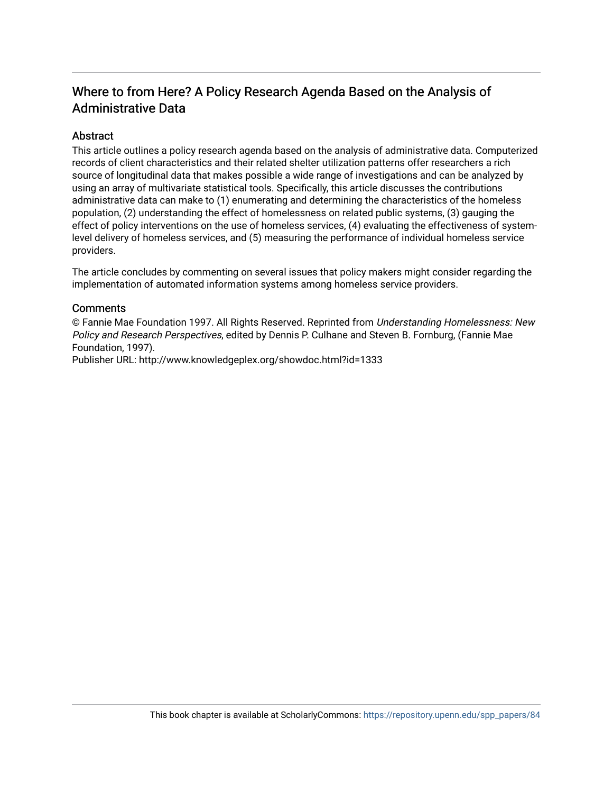# Where to from Here? A Policy Research Agenda Based on the Analysis of Administrative Data

## **Abstract**

This article outlines a policy research agenda based on the analysis of administrative data. Computerized records of client characteristics and their related shelter utilization patterns offer researchers a rich source of longitudinal data that makes possible a wide range of investigations and can be analyzed by using an array of multivariate statistical tools. Specifically, this article discusses the contributions administrative data can make to (1) enumerating and determining the characteristics of the homeless population, (2) understanding the effect of homelessness on related public systems, (3) gauging the effect of policy interventions on the use of homeless services, (4) evaluating the effectiveness of systemlevel delivery of homeless services, and (5) measuring the performance of individual homeless service providers.

The article concludes by commenting on several issues that policy makers might consider regarding the implementation of automated information systems among homeless service providers.

#### **Comments**

© Fannie Mae Foundation 1997. All Rights Reserved. Reprinted from Understanding Homelessness: New Policy and Research Perspectives, edited by Dennis P. Culhane and Steven B. Fornburg, (Fannie Mae Foundation, 1997).

Publisher URL: http://www.knowledgeplex.org/showdoc.html?id=1333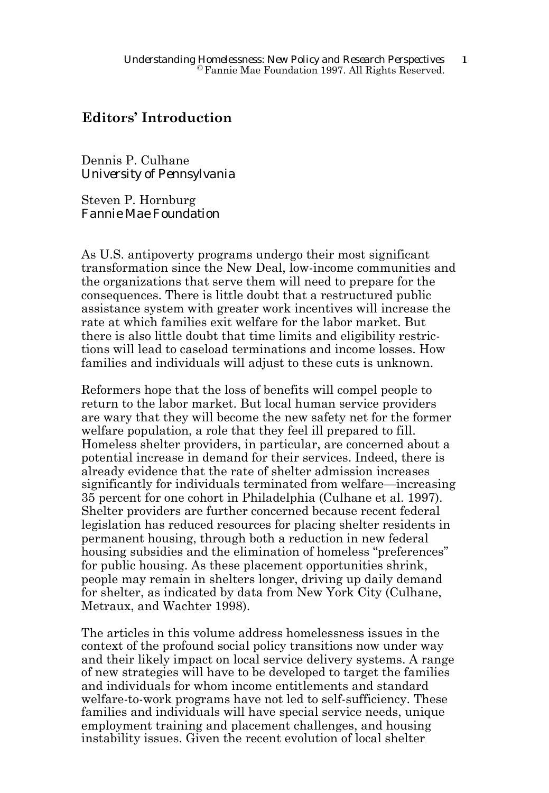### **Editors' Introduction**

Dennis P. Culhane *University of Pennsylvania*

Steven P. Hornburg *Fannie Mae Foundation*

As U.S. antipoverty programs undergo their most significant transformation since the New Deal, low-income communities and the organizations that serve them will need to prepare for the consequences. There is little doubt that a restructured public assistance system with greater work incentives will increase the rate at which families exit welfare for the labor market. But there is also little doubt that time limits and eligibility restrictions will lead to caseload terminations and income losses. How families and individuals will adjust to these cuts is unknown.

Reformers hope that the loss of benefits will compel people to return to the labor market. But local human service providers are wary that they will become the new safety net for the former welfare population, a role that they feel ill prepared to fill. Homeless shelter providers, in particular, are concerned about a potential increase in demand for their services. Indeed, there is already evidence that the rate of shelter admission increases significantly for individuals terminated from welfare—increasing 35 percent for one cohort in Philadelphia (Culhane et al. 1997). Shelter providers are further concerned because recent federal legislation has reduced resources for placing shelter residents in permanent housing, through both a reduction in new federal housing subsidies and the elimination of homeless "preferences" for public housing. As these placement opportunities shrink, people may remain in shelters longer, driving up daily demand for shelter, as indicated by data from New York City (Culhane, Metraux, and Wachter 1998).

The articles in this volume address homelessness issues in the context of the profound social policy transitions now under way and their likely impact on local service delivery systems. A range of new strategies will have to be developed to target the families and individuals for whom income entitlements and standard welfare-to-work programs have not led to self-sufficiency. These families and individuals will have special service needs, unique employment training and placement challenges, and housing instability issues. Given the recent evolution of local shelter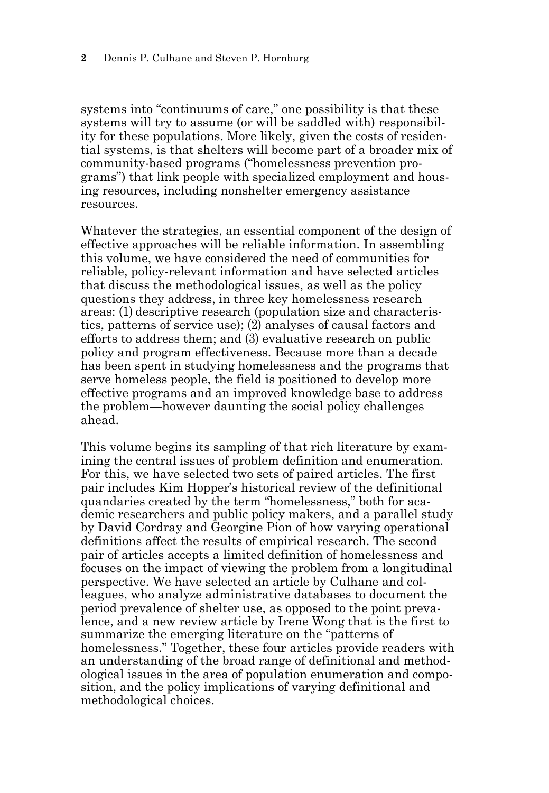#### **2** Dennis P. Culhane and Steven P. Hornburg

systems into "continuums of care," one possibility is that these systems will try to assume (or will be saddled with) responsibility for these populations. More likely, given the costs of residential systems, is that shelters will become part of a broader mix of community-based programs ("homelessness prevention programs") that link people with specialized employment and housing resources, including nonshelter emergency assistance resources.

Whatever the strategies, an essential component of the design of effective approaches will be reliable information. In assembling this volume, we have considered the need of communities for reliable, policy-relevant information and have selected articles that discuss the methodological issues, as well as the policy questions they address, in three key homelessness research areas: (1) descriptive research (population size and characteristics, patterns of service use); (2) analyses of causal factors and efforts to address them; and (3) evaluative research on public policy and program effectiveness. Because more than a decade has been spent in studying homelessness and the programs that serve homeless people, the field is positioned to develop more effective programs and an improved knowledge base to address the problem—however daunting the social policy challenges ahead.

This volume begins its sampling of that rich literature by examining the central issues of problem definition and enumeration. For this, we have selected two sets of paired articles. The first pair includes Kim Hopper's historical review of the definitional quandaries created by the term "homelessness," both for academic researchers and public policy makers, and a parallel study by David Cordray and Georgine Pion of how varying operational definitions affect the results of empirical research. The second pair of articles accepts a limited definition of homelessness and focuses on the impact of viewing the problem from a longitudinal perspective. We have selected an article by Culhane and colleagues, who analyze administrative databases to document the period prevalence of shelter use, as opposed to the point prevalence, and a new review article by Irene Wong that is the first to summarize the emerging literature on the "patterns of homelessness." Together, these four articles provide readers with an understanding of the broad range of definitional and methodological issues in the area of population enumeration and composition, and the policy implications of varying definitional and methodological choices.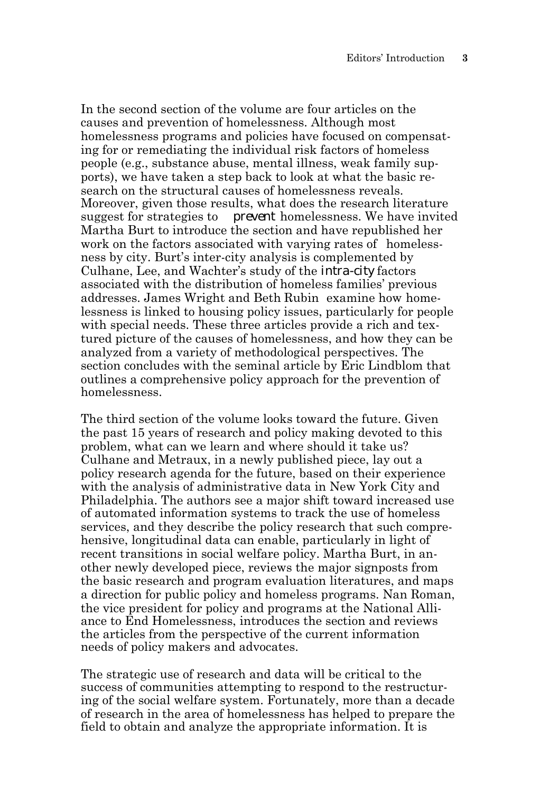In the second section of the volume are four articles on the causes and prevention of homelessness. Although most homelessness programs and policies have focused on compensating for or remediating the individual risk factors of homeless people (e.g., substance abuse, mental illness, weak family supports), we have taken a step back to look at what the basic research on the structural causes of homelessness reveals. Moreover, given those results, what does the research literature suggest for strategies to *prevent* homelessness. We have invited Martha Burt to introduce the section and have republished her work on the factors associated with varying rates of homelessness by city. Burt's inter-city analysis is complemented by Culhane, Lee, and Wachter's study of the *intra-city* factors associated with the distribution of homeless families' previous addresses. James Wright and Beth Rubin examine how homelessness is linked to housing policy issues, particularly for people with special needs. These three articles provide a rich and textured picture of the causes of homelessness, and how they can be analyzed from a variety of methodological perspectives. The section concludes with the seminal article by Eric Lindblom that outlines a comprehensive policy approach for the prevention of homelessness.

The third section of the volume looks toward the future. Given the past 15 years of research and policy making devoted to this problem, what can we learn and where should it take us? Culhane and Metraux, in a newly published piece, lay out a policy research agenda for the future, based on their experience with the analysis of administrative data in New York City and Philadelphia. The authors see a major shift toward increased use of automated information systems to track the use of homeless services, and they describe the policy research that such comprehensive, longitudinal data can enable, particularly in light of recent transitions in social welfare policy. Martha Burt, in another newly developed piece, reviews the major signposts from the basic research and program evaluation literatures, and maps a direction for public policy and homeless programs. Nan Roman, the vice president for policy and programs at the National Alliance to End Homelessness, introduces the section and reviews the articles from the perspective of the current information needs of policy makers and advocates.

The strategic use of research and data will be critical to the success of communities attempting to respond to the restructuring of the social welfare system. Fortunately, more than a decade of research in the area of homelessness has helped to prepare the field to obtain and analyze the appropriate information. It is